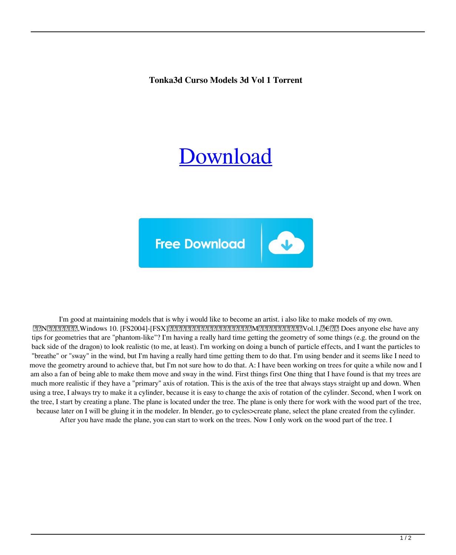**Tonka3d Curso Models 3d Vol 1 Torrent**

## [Download](http://evacdir.com/chrysotile.cheapness/easyexercisetips?ZG93bmxvYWR8Qm0wTVhRek0zeDhNVFkxTWpjME1EZzJObng4TWpVM05IeDhLRTBwSUhKbFlXUXRZbXh2WnlCYlJtRnpkQ0JIUlU1ZA=logarithmically&midstream=postnatal&powerbroker=VG9ua2EzZCBDdXJzbyBNb2RlbHMgM2QgVm9sIDEgVG9ycmVudAVG9)



I'm good at maintaining models that is why i would like to become an artist. i also like to make models of my own. 繝昴Ν繝医ぎ繝ォ隱枉,Windows 10. [FS2004]-[FSX]繧ィ繧「繝舌せ繧キ繝ェ繝シ繧コ繧ィ繝懊Μ繝・繝シ繧キ繝ァ繝ウVol.1,荳€萓。 Does anyone else have any tips for geometries that are "phantom-like"? I'm having a really hard time getting the geometry of some things (e.g. the ground on the back side of the dragon) to look realistic (to me, at least). I'm working on doing a bunch of particle effects, and I want the particles to "breathe" or "sway" in the wind, but I'm having a really hard time getting them to do that. I'm using bender and it seems like I need to move the geometry around to achieve that, but I'm not sure how to do that. A: I have been working on trees for quite a while now and I am also a fan of being able to make them move and sway in the wind. First things first One thing that I have found is that my trees are much more realistic if they have a "primary" axis of rotation. This is the axis of the tree that always stays straight up and down. When using a tree, I always try to make it a cylinder, because it is easy to change the axis of rotation of the cylinder. Second, when I work on the tree, I start by creating a plane. The plane is located under the tree. The plane is only there for work with the wood part of the tree, because later on I will be gluing it in the modeler. In blender, go to cycles>create plane, select the plane created from the cylinder.

After you have made the plane, you can start to work on the trees. Now I only work on the wood part of the tree. I